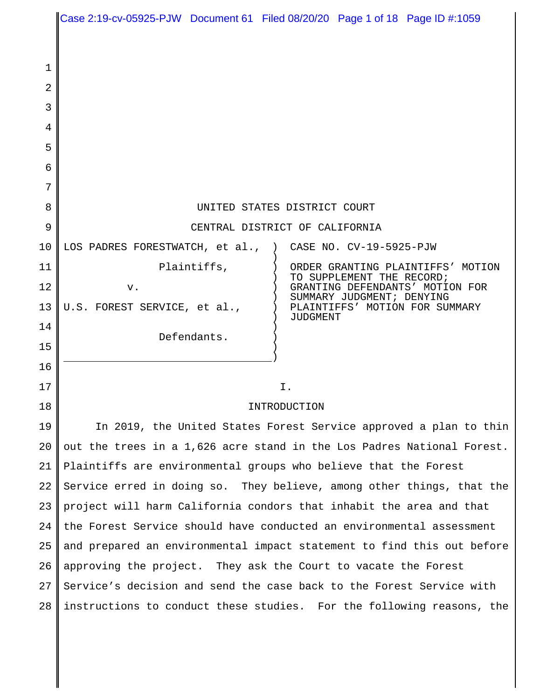|    | Case 2:19-cv-05925-PJW Document 61 Filed 08/20/20 Page 1 of 18 Page ID #:1059 |             |                 |                                                              |                         |  |
|----|-------------------------------------------------------------------------------|-------------|-----------------|--------------------------------------------------------------|-------------------------|--|
|    |                                                                               |             |                 |                                                              |                         |  |
| 1  |                                                                               |             |                 |                                                              |                         |  |
| 2  |                                                                               |             |                 |                                                              |                         |  |
| 3  |                                                                               |             |                 |                                                              |                         |  |
| 4  |                                                                               |             |                 |                                                              |                         |  |
| 5  |                                                                               |             |                 |                                                              |                         |  |
| 6  |                                                                               |             |                 |                                                              |                         |  |
| 7  |                                                                               |             |                 |                                                              |                         |  |
| 8  | UNITED STATES DISTRICT COURT                                                  |             |                 |                                                              |                         |  |
| 9  | CENTRAL DISTRICT OF CALIFORNIA                                                |             |                 |                                                              |                         |  |
| 10 | LOS PADRES FORESTWATCH, et al.,                                               |             |                 |                                                              | CASE NO. CV-19-5925-PJW |  |
| 11 |                                                                               | Plaintiffs, |                 | ORDER GRANTING PLAINTIFFS' MOTION                            |                         |  |
| 12 | v.                                                                            |             |                 | TO SUPPLEMENT THE RECORD;<br>GRANTING DEFENDANTS' MOTION FOR |                         |  |
| 13 | U.S. FOREST SERVICE, et al.,                                                  |             |                 | SUMMARY JUDGMENT; DENYING<br>PLAINTIFFS' MOTION FOR SUMMARY  |                         |  |
| 14 |                                                                               |             | <b>JUDGMENT</b> |                                                              |                         |  |
| 15 | Defendants.                                                                   |             |                 |                                                              |                         |  |
| 16 |                                                                               |             |                 |                                                              |                         |  |
| 17 | Ι.                                                                            |             |                 |                                                              |                         |  |
| 18 | INTRODUCTION                                                                  |             |                 |                                                              |                         |  |
| 19 | In 2019, the United States Forest Service approved a plan to thin             |             |                 |                                                              |                         |  |
| 20 | out the trees in a 1,626 acre stand in the Los Padres National Forest.        |             |                 |                                                              |                         |  |
| 21 | Plaintiffs are environmental groups who believe that the Forest               |             |                 |                                                              |                         |  |
| 22 | Service erred in doing so. They believe, among other things, that the         |             |                 |                                                              |                         |  |
| 23 | project will harm California condors that inhabit the area and that           |             |                 |                                                              |                         |  |
| 24 | the Forest Service should have conducted an environmental assessment          |             |                 |                                                              |                         |  |
| 25 | and prepared an environmental impact statement to find this out before        |             |                 |                                                              |                         |  |
| 26 | approving the project. They ask the Court to vacate the Forest                |             |                 |                                                              |                         |  |
| 27 | Service's decision and send the case back to the Forest Service with          |             |                 |                                                              |                         |  |
| 28 | instructions to conduct these studies. For the following reasons, the         |             |                 |                                                              |                         |  |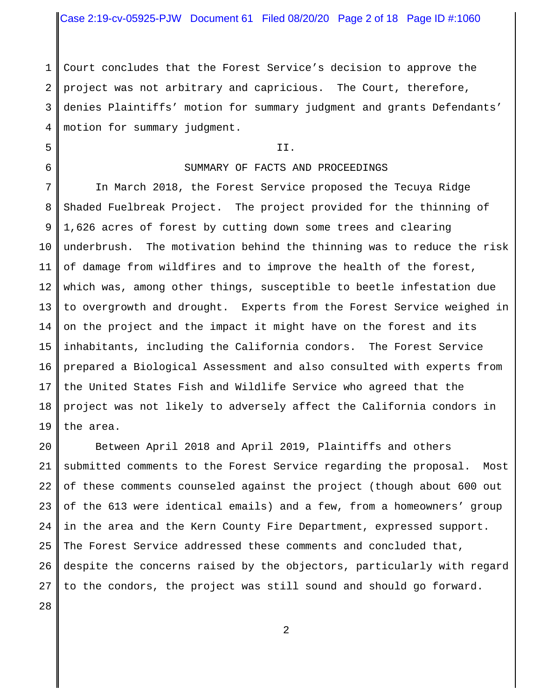Case 2:19-cv-05925-PJW Document 61 Filed 08/20/20 Page 2 of 18 Page ID #:1060

1 2 3 4 Court concludes that the Forest Service's decision to approve the project was not arbitrary and capricious. The Court, therefore, denies Plaintiffs' motion for summary judgment and grants Defendants' motion for summary judgment.

## II.

## SUMMARY OF FACTS AND PROCEEDINGS

7 8 9 10 11 12 13 14 15 16 17 18 19 In March 2018, the Forest Service proposed the Tecuya Ridge Shaded Fuelbreak Project. The project provided for the thinning of 1,626 acres of forest by cutting down some trees and clearing underbrush. The motivation behind the thinning was to reduce the risk of damage from wildfires and to improve the health of the forest, which was, among other things, susceptible to beetle infestation due to overgrowth and drought. Experts from the Forest Service weighed in on the project and the impact it might have on the forest and its inhabitants, including the California condors. The Forest Service prepared a Biological Assessment and also consulted with experts from the United States Fish and Wildlife Service who agreed that the project was not likely to adversely affect the California condors in the area.

20 21 22 23 24 25 26 27 Between April 2018 and April 2019, Plaintiffs and others submitted comments to the Forest Service regarding the proposal. Most of these comments counseled against the project (though about 600 out of the 613 were identical emails) and a few, from a homeowners' group in the area and the Kern County Fire Department, expressed support. The Forest Service addressed these comments and concluded that, despite the concerns raised by the objectors, particularly with regard to the condors, the project was still sound and should go forward.

28

5

6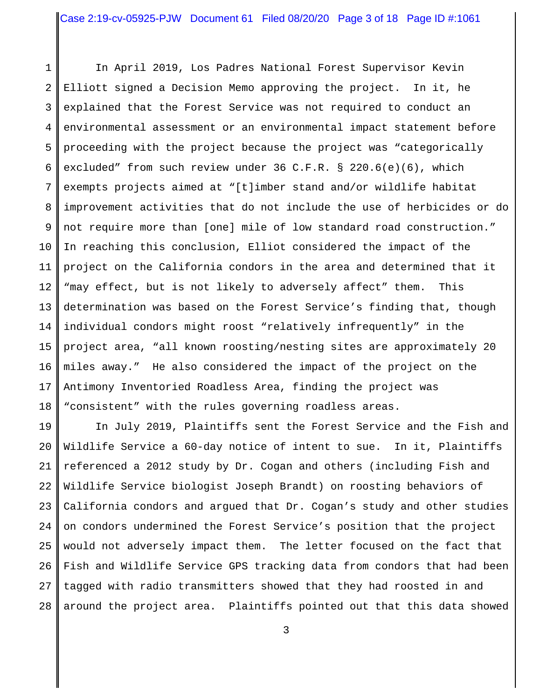1 2 3 4 5 6 7 8 9 10 11 12 13 14 15 16 17 18 In April 2019, Los Padres National Forest Supervisor Kevin Elliott signed a Decision Memo approving the project. In it, he explained that the Forest Service was not required to conduct an environmental assessment or an environmental impact statement before proceeding with the project because the project was "categorically excluded" from such review under 36 C.F.R. § 220.6(e)(6), which exempts projects aimed at "[t]imber stand and/or wildlife habitat improvement activities that do not include the use of herbicides or do not require more than [one] mile of low standard road construction." In reaching this conclusion, Elliot considered the impact of the project on the California condors in the area and determined that it "may effect, but is not likely to adversely affect" them. This determination was based on the Forest Service's finding that, though individual condors might roost "relatively infrequently" in the project area, "all known roosting/nesting sites are approximately 20 miles away." He also considered the impact of the project on the Antimony Inventoried Roadless Area, finding the project was "consistent" with the rules governing roadless areas.

19 20 21 22 23 24 25 26 27 28 In July 2019, Plaintiffs sent the Forest Service and the Fish and Wildlife Service a 60-day notice of intent to sue. In it, Plaintiffs referenced a 2012 study by Dr. Cogan and others (including Fish and Wildlife Service biologist Joseph Brandt) on roosting behaviors of California condors and argued that Dr. Cogan's study and other studies on condors undermined the Forest Service's position that the project would not adversely impact them. The letter focused on the fact that Fish and Wildlife Service GPS tracking data from condors that had been tagged with radio transmitters showed that they had roosted in and around the project area. Plaintiffs pointed out that this data showed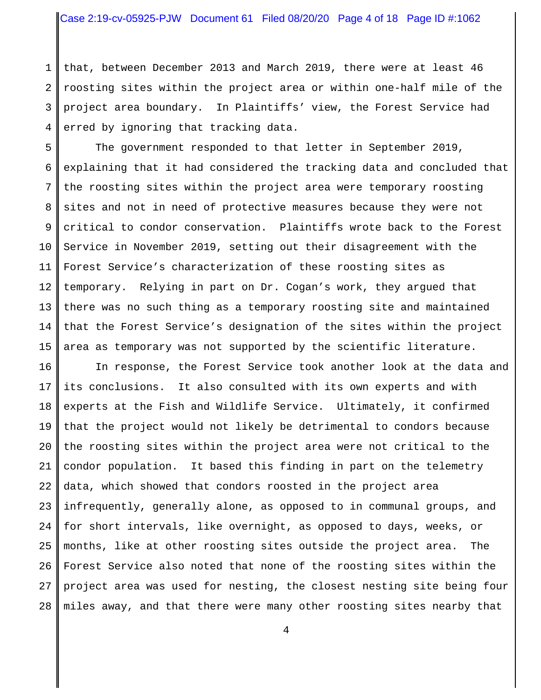1 2 3 4 that, between December 2013 and March 2019, there were at least 46 roosting sites within the project area or within one-half mile of the project area boundary. In Plaintiffs' view, the Forest Service had erred by ignoring that tracking data.

5 6 7 8 9 10 11 12 13 14 15 The government responded to that letter in September 2019, explaining that it had considered the tracking data and concluded that the roosting sites within the project area were temporary roosting sites and not in need of protective measures because they were not critical to condor conservation. Plaintiffs wrote back to the Forest Service in November 2019, setting out their disagreement with the Forest Service's characterization of these roosting sites as temporary. Relying in part on Dr. Cogan's work, they argued that there was no such thing as a temporary roosting site and maintained that the Forest Service's designation of the sites within the project area as temporary was not supported by the scientific literature.

16 17 18 19 20 21 22 23 24 25 26 27 28 In response, the Forest Service took another look at the data and its conclusions. It also consulted with its own experts and with experts at the Fish and Wildlife Service. Ultimately, it confirmed that the project would not likely be detrimental to condors because the roosting sites within the project area were not critical to the condor population. It based this finding in part on the telemetry data, which showed that condors roosted in the project area infrequently, generally alone, as opposed to in communal groups, and for short intervals, like overnight, as opposed to days, weeks, or months, like at other roosting sites outside the project area. The Forest Service also noted that none of the roosting sites within the project area was used for nesting, the closest nesting site being four miles away, and that there were many other roosting sites nearby that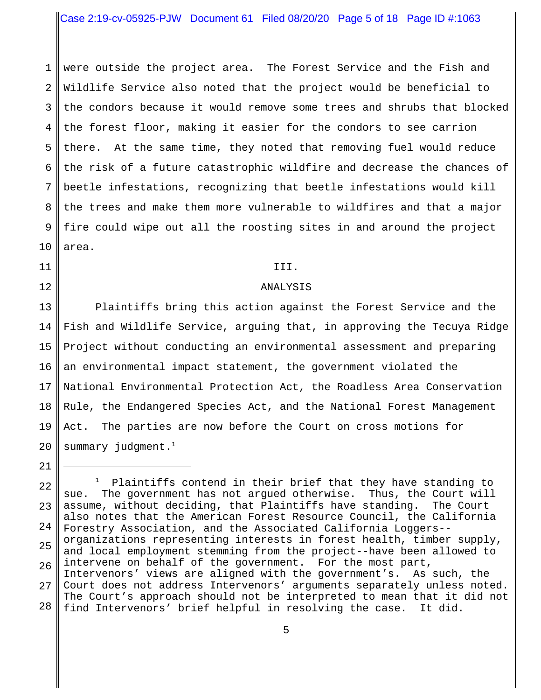1 2 3 4 5 6 7 8 9 10 were outside the project area. The Forest Service and the Fish and Wildlife Service also noted that the project would be beneficial to the condors because it would remove some trees and shrubs that blocked the forest floor, making it easier for the condors to see carrion there. At the same time, they noted that removing fuel would reduce the risk of a future catastrophic wildfire and decrease the chances of beetle infestations, recognizing that beetle infestations would kill the trees and make them more vulnerable to wildfires and that a major fire could wipe out all the roosting sites in and around the project area.

## 11

12

#### III.

## ANALYSIS

13 14 15 16 17 18 19 20 Plaintiffs bring this action against the Forest Service and the Fish and Wildlife Service, arguing that, in approving the Tecuya Ridge Project without conducting an environmental assessment and preparing an environmental impact statement, the government violated the National Environmental Protection Act, the Roadless Area Conservation Rule, the Endangered Species Act, and the National Forest Management Act. The parties are now before the Court on cross motions for summary judgment. $<sup>1</sup>$ </sup>

<sup>21</sup>

<sup>22</sup> 23 24 25 26 27 28  $1$  Plaintiffs contend in their brief that they have standing to sue. The government has not argued otherwise. Thus, the Court will assume, without deciding, that Plaintiffs have standing. The Court also notes that the American Forest Resource Council, the California Forestry Association, and the Associated California Loggers- organizations representing interests in forest health, timber supply, and local employment stemming from the project--have been allowed to intervene on behalf of the government. For the most part, Intervenors' views are aligned with the government's. As such, the Court does not address Intervenors' arguments separately unless noted. The Court's approach should not be interpreted to mean that it did not find Intervenors' brief helpful in resolving the case. It did.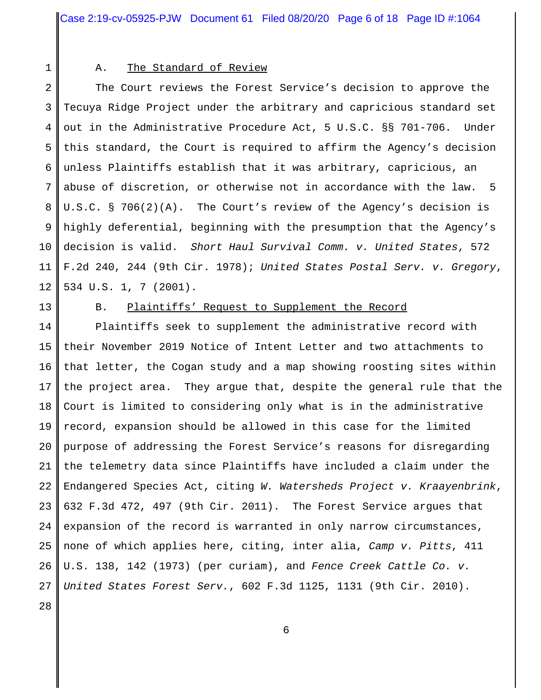1

# A. The Standard of Review

2 3 4 5 6 7 8 9 10 11 12 The Court reviews the Forest Service's decision to approve the Tecuya Ridge Project under the arbitrary and capricious standard set out in the Administrative Procedure Act, 5 U.S.C. §§ 701-706. Under this standard, the Court is required to affirm the Agency's decision unless Plaintiffs establish that it was arbitrary, capricious, an abuse of discretion, or otherwise not in accordance with the law. 5 U.S.C. § 706(2)(A). The Court's review of the Agency's decision is highly deferential, beginning with the presumption that the Agency's decision is valid. *Short Haul Survival Comm. v. United States*, 572 F.2d 240, 244 (9th Cir. 1978); *United States Postal Serv. v. Gregory*, 534 U.S. 1, 7 (2001).

13

# B. Plaintiffs' Request to Supplement the Record

14 15 16 17 18 19 20 21 22 23 24 25 26 27 Plaintiffs seek to supplement the administrative record with their November 2019 Notice of Intent Letter and two attachments to that letter, the Cogan study and a map showing roosting sites within the project area. They argue that, despite the general rule that the Court is limited to considering only what is in the administrative record, expansion should be allowed in this case for the limited purpose of addressing the Forest Service's reasons for disregarding the telemetry data since Plaintiffs have included a claim under the Endangered Species Act, citing *W. Watersheds Project v. Kraayenbrink*, 632 F.3d 472, 497 (9th Cir. 2011). The Forest Service argues that expansion of the record is warranted in only narrow circumstances, none of which applies here, citing, inter alia, *Camp v. Pitts*, 411 U.S. 138, 142 (1973) (per curiam), and *Fence Creek Cattle Co. v. United States Forest Serv.*, 602 F.3d 1125, 1131 (9th Cir. 2010).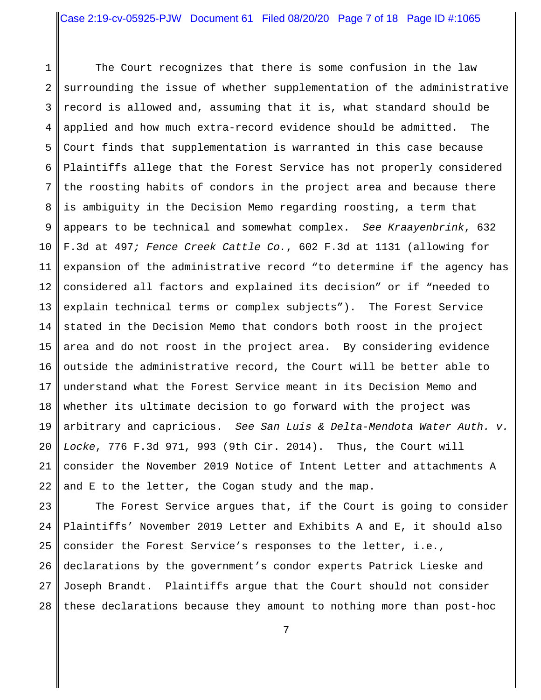1 2 3 4 5 6 7 8 9 10 11 12 13 14 15 16 17 18 19 20 21 22 The Court recognizes that there is some confusion in the law surrounding the issue of whether supplementation of the administrative record is allowed and, assuming that it is, what standard should be applied and how much extra-record evidence should be admitted. The Court finds that supplementation is warranted in this case because Plaintiffs allege that the Forest Service has not properly considered the roosting habits of condors in the project area and because there is ambiguity in the Decision Memo regarding roosting, a term that appears to be technical and somewhat complex. *See Kraayenbrink*, 632 F.3d at 497*; Fence Creek Cattle Co.*, 602 F.3d at 1131 (allowing for expansion of the administrative record "to determine if the agency has considered all factors and explained its decision" or if "needed to explain technical terms or complex subjects"). The Forest Service stated in the Decision Memo that condors both roost in the project area and do not roost in the project area. By considering evidence outside the administrative record, the Court will be better able to understand what the Forest Service meant in its Decision Memo and whether its ultimate decision to go forward with the project was arbitrary and capricious. *See San Luis & Delta-Mendota Water Auth. v. Locke*, 776 F.3d 971, 993 (9th Cir. 2014). Thus, the Court will consider the November 2019 Notice of Intent Letter and attachments A and E to the letter, the Cogan study and the map.

23 24 25 26 27 28 The Forest Service argues that, if the Court is going to consider Plaintiffs' November 2019 Letter and Exhibits A and E, it should also consider the Forest Service's responses to the letter, i.e., declarations by the government's condor experts Patrick Lieske and Joseph Brandt. Plaintiffs argue that the Court should not consider these declarations because they amount to nothing more than post-hoc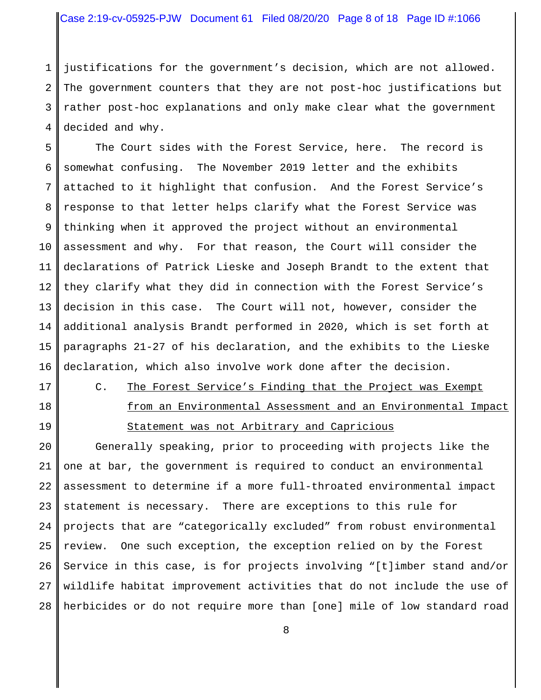# Case 2:19-cv-05925-PJW Document 61 Filed 08/20/20 Page 8 of 18 Page ID #:1066

1 2 3 4 justifications for the government's decision, which are not allowed. The government counters that they are not post-hoc justifications but rather post-hoc explanations and only make clear what the government decided and why.

5 6 7 8 9 10 11 12 13 14 15 16 The Court sides with the Forest Service, here. The record is somewhat confusing. The November 2019 letter and the exhibits attached to it highlight that confusion. And the Forest Service's response to that letter helps clarify what the Forest Service was thinking when it approved the project without an environmental assessment and why. For that reason, the Court will consider the declarations of Patrick Lieske and Joseph Brandt to the extent that they clarify what they did in connection with the Forest Service's decision in this case. The Court will not, however, consider the additional analysis Brandt performed in 2020, which is set forth at paragraphs 21-27 of his declaration, and the exhibits to the Lieske declaration, which also involve work done after the decision.

- 17
- 18 19
- C. The Forest Service's Finding that the Project was Exempt from an Environmental Assessment and an Environmental Impact

# Statement was not Arbitrary and Capricious

20 21 22 23 24 25 26 27 28 Generally speaking, prior to proceeding with projects like the one at bar, the government is required to conduct an environmental assessment to determine if a more full-throated environmental impact statement is necessary. There are exceptions to this rule for projects that are "categorically excluded" from robust environmental review. One such exception, the exception relied on by the Forest Service in this case, is for projects involving "[t]imber stand and/or wildlife habitat improvement activities that do not include the use of herbicides or do not require more than [one] mile of low standard road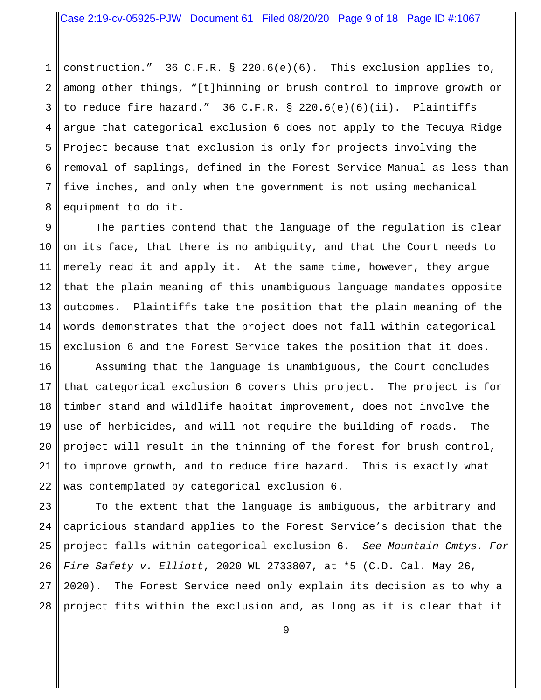1 2 3 4 5 6 7 8 construction." 36 C.F.R. § 220.6(e)(6). This exclusion applies to, among other things, "[t]hinning or brush control to improve growth or to reduce fire hazard." 36 C.F.R. § 220.6(e)(6)(ii). Plaintiffs argue that categorical exclusion 6 does not apply to the Tecuya Ridge Project because that exclusion is only for projects involving the removal of saplings, defined in the Forest Service Manual as less than five inches, and only when the government is not using mechanical equipment to do it.

9 10 11 12 13 14 15 The parties contend that the language of the regulation is clear on its face, that there is no ambiguity, and that the Court needs to merely read it and apply it. At the same time, however, they argue that the plain meaning of this unambiguous language mandates opposite outcomes. Plaintiffs take the position that the plain meaning of the words demonstrates that the project does not fall within categorical exclusion 6 and the Forest Service takes the position that it does.

16 17 18 19 20 21 22 Assuming that the language is unambiguous, the Court concludes that categorical exclusion 6 covers this project. The project is for timber stand and wildlife habitat improvement, does not involve the use of herbicides, and will not require the building of roads. The project will result in the thinning of the forest for brush control, to improve growth, and to reduce fire hazard. This is exactly what was contemplated by categorical exclusion 6.

23 24 25 26 27 28 To the extent that the language is ambiguous, the arbitrary and capricious standard applies to the Forest Service's decision that the project falls within categorical exclusion 6. *See Mountain Cmtys. For Fire Safety v. Elliott*, 2020 WL 2733807, at \*5 (C.D. Cal. May 26, 2020). The Forest Service need only explain its decision as to why a project fits within the exclusion and, as long as it is clear that it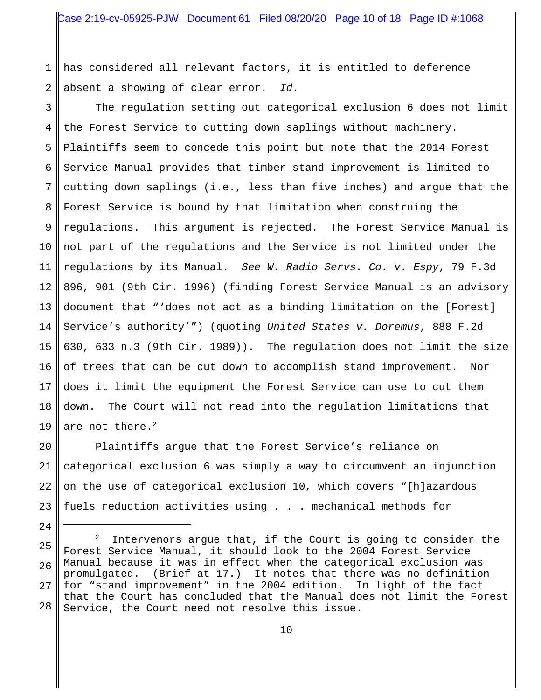1 2 has considered all relevant factors, it is entitled to deference absent a showing of clear error. *Id.*

3 4 5 6 7 8 9 10 11 12 13 14 15 16 17 18 19 The regulation setting out categorical exclusion 6 does not limit the Forest Service to cutting down saplings without machinery. Plaintiffs seem to concede this point but note that the 2014 Forest Service Manual provides that timber stand improvement is limited to cutting down saplings (i.e., less than five inches) and argue that the Forest Service is bound by that limitation when construing the regulations. This argument is rejected. The Forest Service Manual is not part of the regulations and the Service is not limited under the regulations by its Manual. *See W. Radio Servs. Co. v. Espy*, 79 F.3d 896, 901 (9th Cir. 1996) (finding Forest Service Manual is an advisory document that "'does not act as a binding limitation on the [Forest] Service's authority'") (quoting *United States v. Doremus*, 888 F.2d 630, 633 n.3 (9th Cir. 1989)). The regulation does not limit the size of trees that can be cut down to accomplish stand improvement. Nor does it limit the equipment the Forest Service can use to cut them down. The Court will not read into the regulation limitations that are not there. $^2$ 

20 21 22 23 Plaintiffs argue that the Forest Service's reliance on categorical exclusion 6 was simply a way to circumvent an injunction on the use of categorical exclusion 10, which covers "[h]azardous fuels reduction activities using . . . mechanical methods for

<sup>25</sup> 26 27 28 2 Intervenors argue that, if the Court is going to consider the Forest Service Manual, it should look to the 2004 Forest Service Manual because it was in effect when the categorical exclusion was promulgated. (Brief at 17.) It notes that there was no definition for "stand improvement" in the 2004 edition. In light of the fact that the Court has concluded that the Manual does not limit the Forest Service, the Court need not resolve this issue.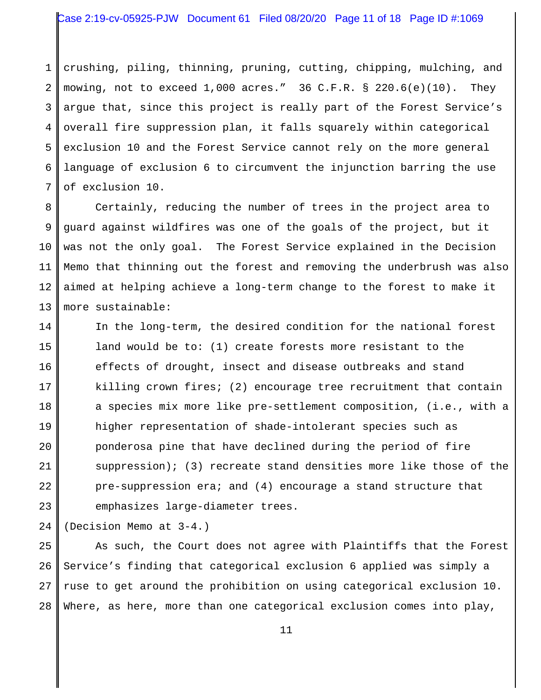1 2 3 4 5 6 7 crushing, piling, thinning, pruning, cutting, chipping, mulching, and mowing, not to exceed  $1,000$  acres." 36 C.F.R. § 220.6(e)(10). They argue that, since this project is really part of the Forest Service's overall fire suppression plan, it falls squarely within categorical exclusion 10 and the Forest Service cannot rely on the more general language of exclusion 6 to circumvent the injunction barring the use of exclusion 10.

8 9 10 11 12 13 Certainly, reducing the number of trees in the project area to guard against wildfires was one of the goals of the project, but it was not the only goal. The Forest Service explained in the Decision Memo that thinning out the forest and removing the underbrush was also aimed at helping achieve a long-term change to the forest to make it more sustainable:

14 15 16 17 18 19 20 21 22 23 In the long-term, the desired condition for the national forest land would be to: (1) create forests more resistant to the effects of drought, insect and disease outbreaks and stand killing crown fires; (2) encourage tree recruitment that contain a species mix more like pre-settlement composition, (i.e., with a higher representation of shade-intolerant species such as ponderosa pine that have declined during the period of fire suppression); (3) recreate stand densities more like those of the pre-suppression era; and (4) encourage a stand structure that emphasizes large-diameter trees.

24 (Decision Memo at 3-4.)

25 26 27 28 As such, the Court does not agree with Plaintiffs that the Forest Service's finding that categorical exclusion 6 applied was simply a ruse to get around the prohibition on using categorical exclusion 10. Where, as here, more than one categorical exclusion comes into play,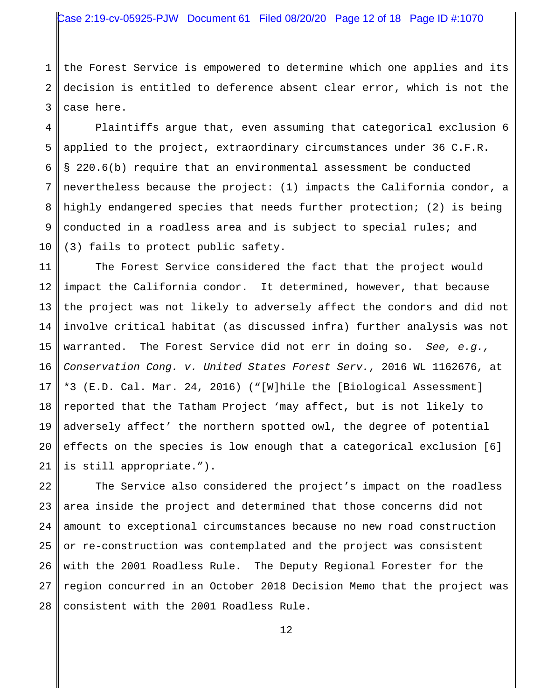1 2 3 the Forest Service is empowered to determine which one applies and its decision is entitled to deference absent clear error, which is not the case here.

4 5 6 7 8 9 10 Plaintiffs argue that, even assuming that categorical exclusion 6 applied to the project, extraordinary circumstances under 36 C.F.R. § 220.6(b) require that an environmental assessment be conducted nevertheless because the project: (1) impacts the California condor, a highly endangered species that needs further protection; (2) is being conducted in a roadless area and is subject to special rules; and (3) fails to protect public safety.

11 12 13 14 15 16 17 18 19 20 21 The Forest Service considered the fact that the project would impact the California condor. It determined, however, that because the project was not likely to adversely affect the condors and did not involve critical habitat (as discussed infra) further analysis was not warranted. The Forest Service did not err in doing so. *See, e.g., Conservation Cong. v. United States Forest Serv.*, 2016 WL 1162676, at \*3 (E.D. Cal. Mar. 24, 2016) ("[W]hile the [Biological Assessment] reported that the Tatham Project 'may affect, but is not likely to adversely affect' the northern spotted owl, the degree of potential effects on the species is low enough that a categorical exclusion [6] is still appropriate.").

22 23 24 25 26 27 28 The Service also considered the project's impact on the roadless area inside the project and determined that those concerns did not amount to exceptional circumstances because no new road construction or re-construction was contemplated and the project was consistent with the 2001 Roadless Rule. The Deputy Regional Forester for the region concurred in an October 2018 Decision Memo that the project was consistent with the 2001 Roadless Rule.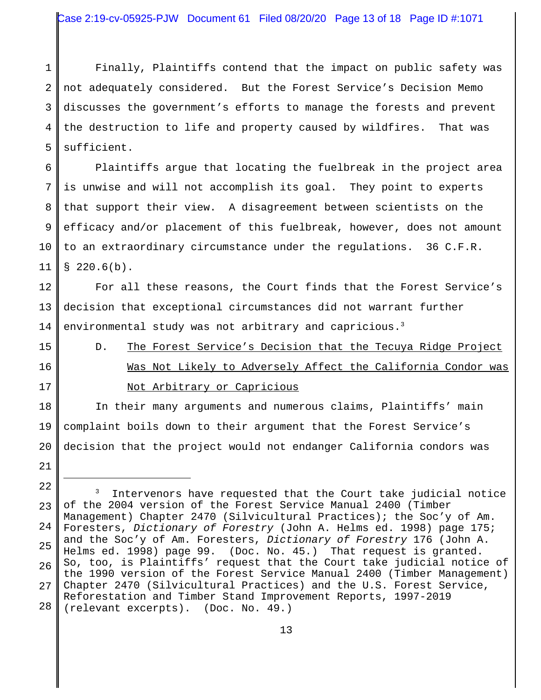1 2 3 4 5 Finally, Plaintiffs contend that the impact on public safety was not adequately considered. But the Forest Service's Decision Memo discusses the government's efforts to manage the forests and prevent the destruction to life and property caused by wildfires. That was sufficient.

6 7 8 9 10 11 Plaintiffs argue that locating the fuelbreak in the project area is unwise and will not accomplish its goal. They point to experts that support their view. A disagreement between scientists on the efficacy and/or placement of this fuelbreak, however, does not amount to an extraordinary circumstance under the regulations. 36 C.F.R.  $$220.6(b).$ 

12 13 14 For all these reasons, the Court finds that the Forest Service's decision that exceptional circumstances did not warrant further environmental study was not arbitrary and capricious.<sup>3</sup>

- 15
- 16
- 17

# D. The Forest Service's Decision that the Tecuya Ridge Project Was Not Likely to Adversely Affect the California Condor was Not Arbitrary or Capricious

18 19 20 21 In their many arguments and numerous claims, Plaintiffs' main complaint boils down to their argument that the Forest Service's decision that the project would not endanger California condors was

<sup>22</sup> 23 24 25 26 27 28 3 Intervenors have requested that the Court take judicial notice of the 2004 version of the Forest Service Manual 2400 (Timber Management) Chapter 2470 (Silvicultural Practices); the Soc'y of Am. Foresters, *Dictionary of Forestry* (John A. Helms ed. 1998) page 175; and the Soc'y of Am. Foresters, *Dictionary of Forestry* 176 (John A. Helms ed. 1998) page 99. (Doc. No. 45.) That request is granted. So, too, is Plaintiffs' request that the Court take judicial notice of the 1990 version of the Forest Service Manual 2400 (Timber Management) Chapter 2470 (Silvicultural Practices) and the U.S. Forest Service, Reforestation and Timber Stand Improvement Reports, 1997-2019 (relevant excerpts). (Doc. No. 49.)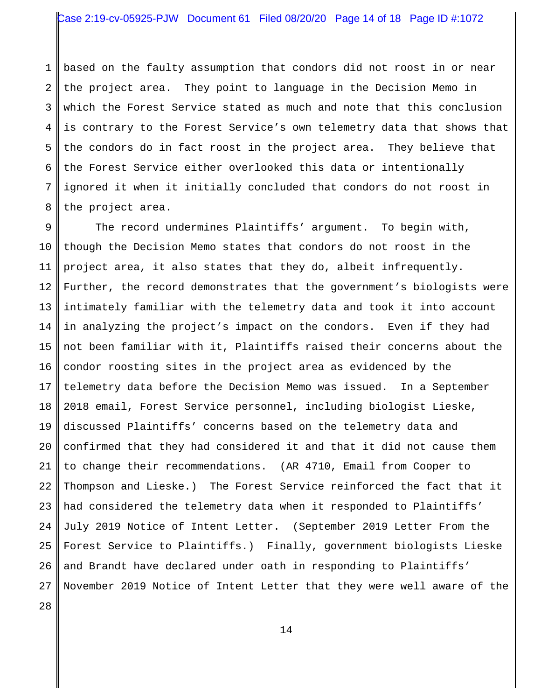# Case 2:19-cv-05925-PJW Document 61 Filed 08/20/20 Page 14 of 18 Page ID #:1072

1 2 3 4 5 6 7 8 based on the faulty assumption that condors did not roost in or near the project area. They point to language in the Decision Memo in which the Forest Service stated as much and note that this conclusion is contrary to the Forest Service's own telemetry data that shows that the condors do in fact roost in the project area. They believe that the Forest Service either overlooked this data or intentionally ignored it when it initially concluded that condors do not roost in the project area.

9 10 11 12 13 14 15 16 17 18 19 20 21 22 23 24 25 26 27 The record undermines Plaintiffs' argument. To begin with, though the Decision Memo states that condors do not roost in the project area, it also states that they do, albeit infrequently. Further, the record demonstrates that the government's biologists were intimately familiar with the telemetry data and took it into account in analyzing the project's impact on the condors. Even if they had not been familiar with it, Plaintiffs raised their concerns about the condor roosting sites in the project area as evidenced by the telemetry data before the Decision Memo was issued. In a September 2018 email, Forest Service personnel, including biologist Lieske, discussed Plaintiffs' concerns based on the telemetry data and confirmed that they had considered it and that it did not cause them to change their recommendations. (AR 4710, Email from Cooper to Thompson and Lieske.) The Forest Service reinforced the fact that it had considered the telemetry data when it responded to Plaintiffs' July 2019 Notice of Intent Letter. (September 2019 Letter From the Forest Service to Plaintiffs.) Finally, government biologists Lieske and Brandt have declared under oath in responding to Plaintiffs' November 2019 Notice of Intent Letter that they were well aware of the

28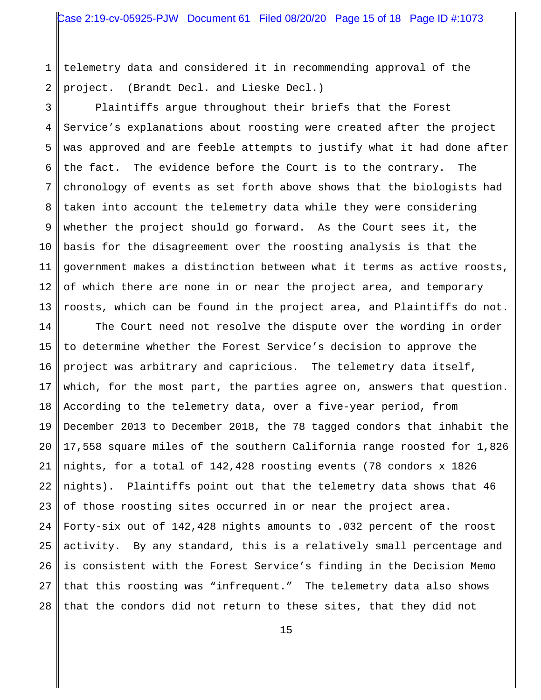1 2 telemetry data and considered it in recommending approval of the project. (Brandt Decl. and Lieske Decl.)

3 4 5 6 7 8 9 10 11 12 13 Plaintiffs argue throughout their briefs that the Forest Service's explanations about roosting were created after the project was approved and are feeble attempts to justify what it had done after the fact. The evidence before the Court is to the contrary. The chronology of events as set forth above shows that the biologists had taken into account the telemetry data while they were considering whether the project should go forward. As the Court sees it, the basis for the disagreement over the roosting analysis is that the government makes a distinction between what it terms as active roosts, of which there are none in or near the project area, and temporary roosts, which can be found in the project area, and Plaintiffs do not.

14 15 16 17 18 19 20 21 22 23 24 25 26 27 28 The Court need not resolve the dispute over the wording in order to determine whether the Forest Service's decision to approve the project was arbitrary and capricious. The telemetry data itself, which, for the most part, the parties agree on, answers that question. According to the telemetry data, over a five-year period, from December 2013 to December 2018, the 78 tagged condors that inhabit the 17,558 square miles of the southern California range roosted for 1,826 nights, for a total of 142,428 roosting events (78 condors x 1826 nights). Plaintiffs point out that the telemetry data shows that 46 of those roosting sites occurred in or near the project area. Forty-six out of 142,428 nights amounts to .032 percent of the roost activity. By any standard, this is a relatively small percentage and is consistent with the Forest Service's finding in the Decision Memo that this roosting was "infrequent." The telemetry data also shows that the condors did not return to these sites, that they did not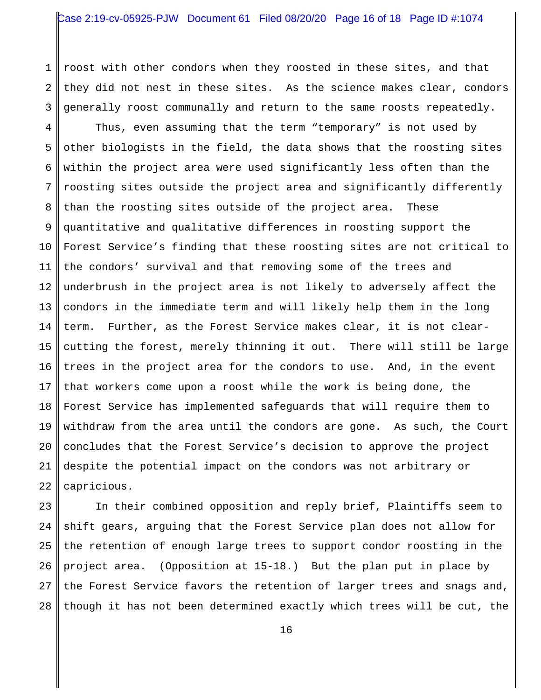1 2 3 roost with other condors when they roosted in these sites, and that they did not nest in these sites. As the science makes clear, condors generally roost communally and return to the same roosts repeatedly.

4 5 6 7 8 9 10 11 12 13 14 15 16 17 18 19 20 21 22 Thus, even assuming that the term "temporary" is not used by other biologists in the field, the data shows that the roosting sites within the project area were used significantly less often than the roosting sites outside the project area and significantly differently than the roosting sites outside of the project area. These quantitative and qualitative differences in roosting support the Forest Service's finding that these roosting sites are not critical to the condors' survival and that removing some of the trees and underbrush in the project area is not likely to adversely affect the condors in the immediate term and will likely help them in the long term. Further, as the Forest Service makes clear, it is not clearcutting the forest, merely thinning it out. There will still be large trees in the project area for the condors to use. And, in the event that workers come upon a roost while the work is being done, the Forest Service has implemented safeguards that will require them to withdraw from the area until the condors are gone. As such, the Court concludes that the Forest Service's decision to approve the project despite the potential impact on the condors was not arbitrary or capricious.

23 24 25 26 27 28 In their combined opposition and reply brief, Plaintiffs seem to shift gears, arguing that the Forest Service plan does not allow for the retention of enough large trees to support condor roosting in the project area. (Opposition at 15-18.) But the plan put in place by the Forest Service favors the retention of larger trees and snags and, though it has not been determined exactly which trees will be cut, the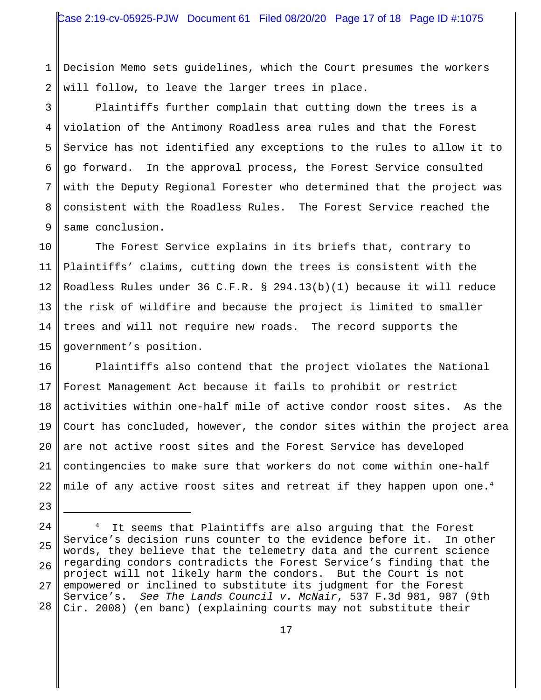1 2 Decision Memo sets guidelines, which the Court presumes the workers will follow, to leave the larger trees in place.

3 4 5 6 7 8 9 Plaintiffs further complain that cutting down the trees is a violation of the Antimony Roadless area rules and that the Forest Service has not identified any exceptions to the rules to allow it to go forward. In the approval process, the Forest Service consulted with the Deputy Regional Forester who determined that the project was consistent with the Roadless Rules. The Forest Service reached the same conclusion.

10 11 12 13 14 15 The Forest Service explains in its briefs that, contrary to Plaintiffs' claims, cutting down the trees is consistent with the Roadless Rules under 36 C.F.R. § 294.13(b)(1) because it will reduce the risk of wildfire and because the project is limited to smaller trees and will not require new roads. The record supports the government's position.

16 17 18 19 20 21 22 Plaintiffs also contend that the project violates the National Forest Management Act because it fails to prohibit or restrict activities within one-half mile of active condor roost sites. As the Court has concluded, however, the condor sites within the project area are not active roost sites and the Forest Service has developed contingencies to make sure that workers do not come within one-half mile of any active roost sites and retreat if they happen upon one.<sup>4</sup>

<sup>23</sup>

<sup>25</sup> 26 27 28 <sup>4</sup> It seems that Plaintiffs are also arguing that the Forest Service's decision runs counter to the evidence before it. In other words, they believe that the telemetry data and the current science regarding condors contradicts the Forest Service's finding that the project will not likely harm the condors. But the Court is not empowered or inclined to substitute its judgment for the Forest Service's. *See The Lands Council v. McNair*, 537 F.3d 981, 987 (9th Cir. 2008) (en banc) (explaining courts may not substitute their